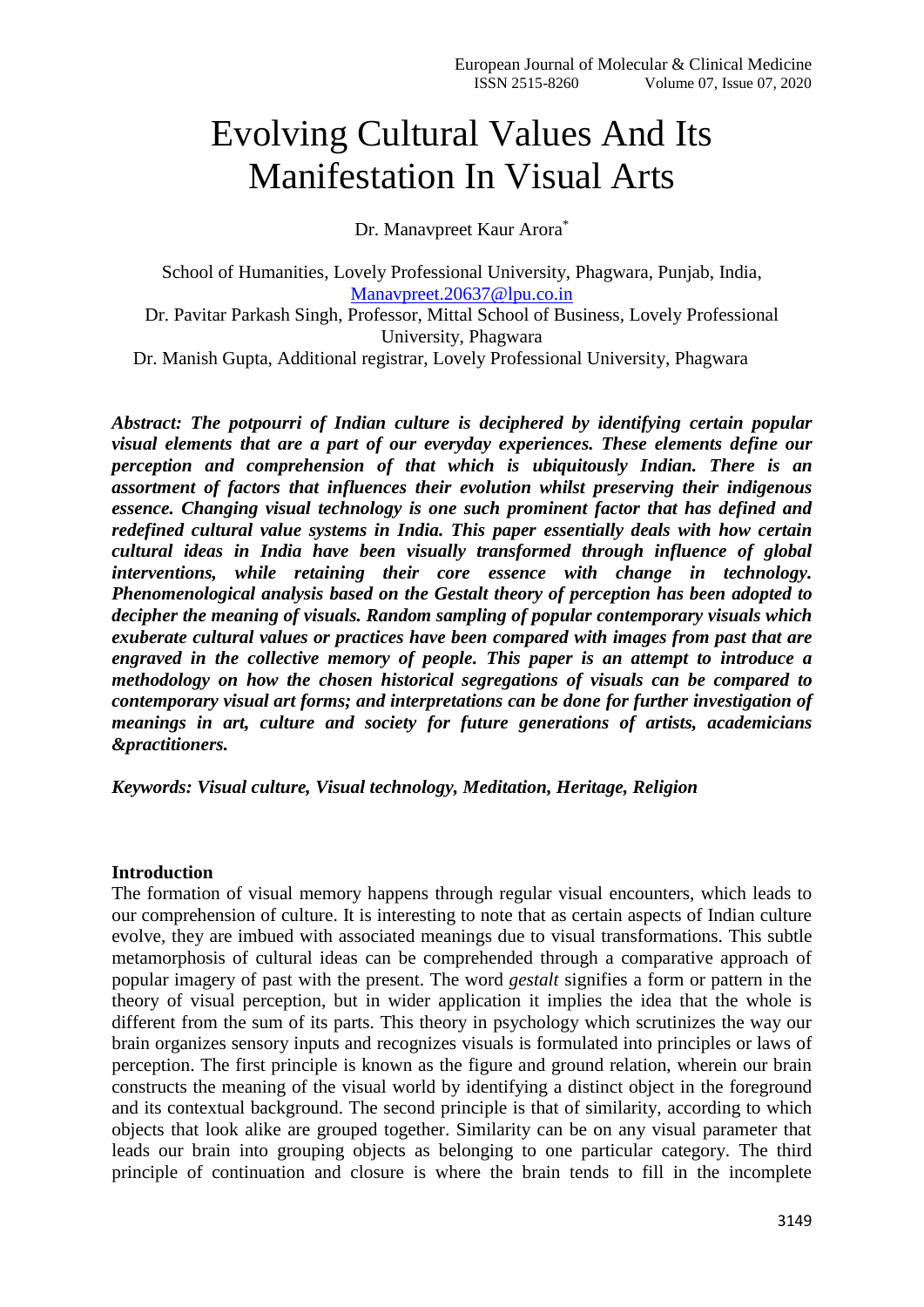# Evolving Cultural Values And Its Manifestation In Visual Arts

Dr. Manavpreet Kaur Arora\*

School of Humanities, Lovely Professional University, Phagwara, Punjab, India, [Manavpreet.20637@lpu.co.in](mailto:Manavpreet.20637@lpu.co.in) Dr. Pavitar Parkash Singh, Professor, Mittal School of Business, Lovely Professional University, Phagwara Dr. Manish Gupta, Additional registrar, Lovely Professional University, Phagwara

*Abstract: The potpourri of Indian culture is deciphered by identifying certain popular visual elements that are a part of our everyday experiences. These elements define our perception and comprehension of that which is ubiquitously Indian. There is an assortment of factors that influences their evolution whilst preserving their indigenous essence. Changing visual technology is one such prominent factor that has defined and redefined cultural value systems in India. This paper essentially deals with how certain cultural ideas in India have been visually transformed through influence of global interventions, while retaining their core essence with change in technology. Phenomenological analysis based on the Gestalt theory of perception has been adopted to decipher the meaning of visuals. Random sampling of popular contemporary visuals which exuberate cultural values or practices have been compared with images from past that are engraved in the collective memory of people. This paper is an attempt to introduce a methodology on how the chosen historical segregations of visuals can be compared to contemporary visual art forms; and interpretations can be done for further investigation of meanings in art, culture and society for future generations of artists, academicians &practitioners.*

*Keywords: Visual culture, Visual technology, Meditation, Heritage, Religion*

### **Introduction**

The formation of visual memory happens through regular visual encounters, which leads to our comprehension of culture. It is interesting to note that as certain aspects of Indian culture evolve, they are imbued with associated meanings due to visual transformations. This subtle metamorphosis of cultural ideas can be comprehended through a comparative approach of popular imagery of past with the present. The word *gestalt* signifies a form or pattern in the theory of visual perception, but in wider application it implies the idea that the whole is different from the sum of its parts. This theory in psychology which scrutinizes the way our brain organizes sensory inputs and recognizes visuals is formulated into principles or laws of perception. The first principle is known as the figure and ground relation, wherein our brain constructs the meaning of the visual world by identifying a distinct object in the foreground and its contextual background. The second principle is that of similarity, according to which objects that look alike are grouped together. Similarity can be on any visual parameter that leads our brain into grouping objects as belonging to one particular category. The third principle of continuation and closure is where the brain tends to fill in the incomplete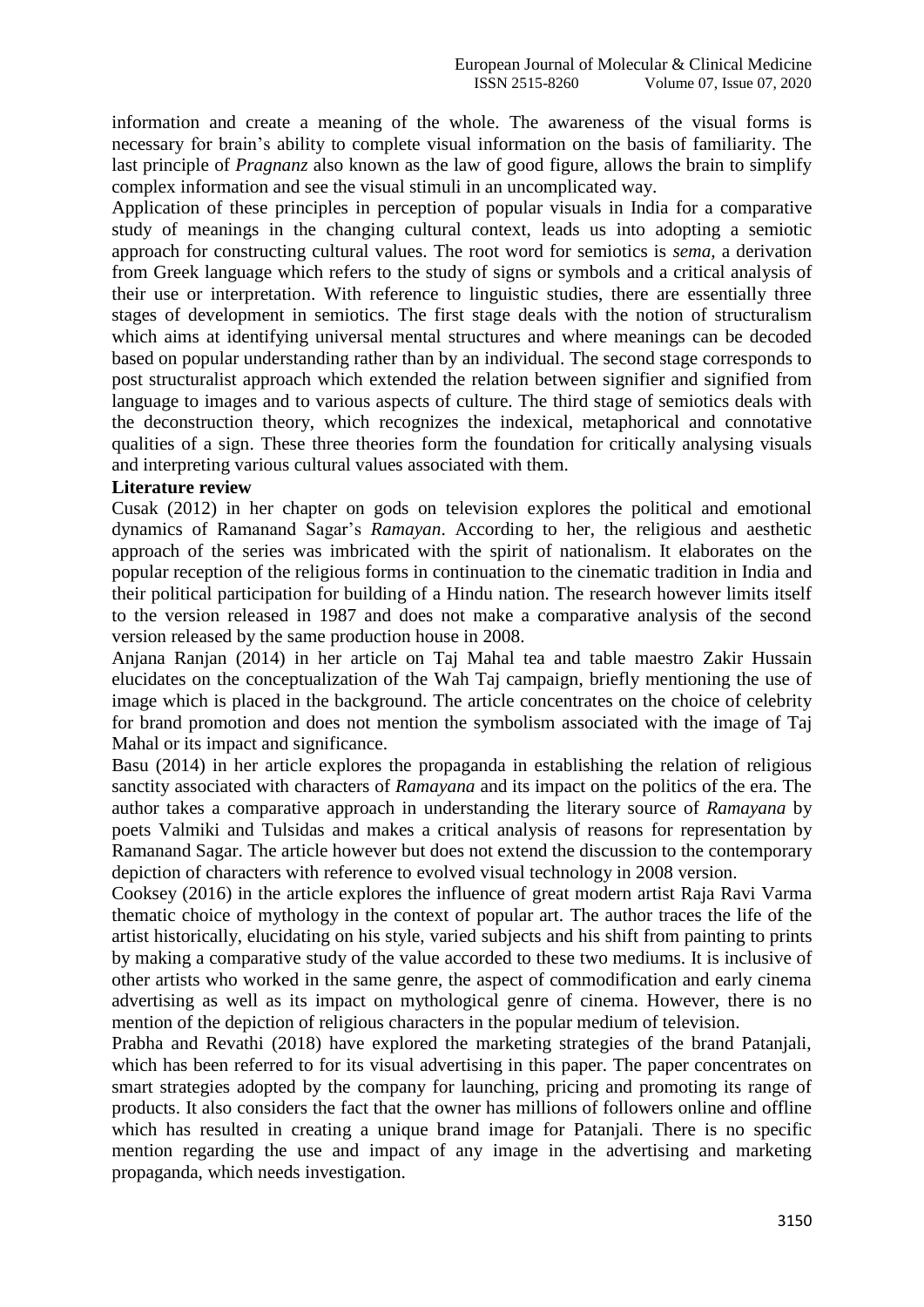information and create a meaning of the whole. The awareness of the visual forms is necessary for brain's ability to complete visual information on the basis of familiarity. The last principle of *Pragnanz* also known as the law of good figure, allows the brain to simplify complex information and see the visual stimuli in an uncomplicated way.

Application of these principles in perception of popular visuals in India for a comparative study of meanings in the changing cultural context, leads us into adopting a semiotic approach for constructing cultural values. The root word for semiotics is *sema,* a derivation from Greek language which refers to the study of signs or symbols and a critical analysis of their use or interpretation. With reference to linguistic studies, there are essentially three stages of development in semiotics. The first stage deals with the notion of structuralism which aims at identifying universal mental structures and where meanings can be decoded based on popular understanding rather than by an individual. The second stage corresponds to post structuralist approach which extended the relation between signifier and signified from language to images and to various aspects of culture. The third stage of semiotics deals with the deconstruction theory, which recognizes the indexical, metaphorical and connotative qualities of a sign. These three theories form the foundation for critically analysing visuals and interpreting various cultural values associated with them.

#### **Literature review**

Cusak (2012) in her chapter on gods on television explores the political and emotional dynamics of Ramanand Sagar's *Ramayan*. According to her, the religious and aesthetic approach of the series was imbricated with the spirit of nationalism. It elaborates on the popular reception of the religious forms in continuation to the cinematic tradition in India and their political participation for building of a Hindu nation. The research however limits itself to the version released in 1987 and does not make a comparative analysis of the second version released by the same production house in 2008.

Anjana Ranjan (2014) in her article on Taj Mahal tea and table maestro Zakir Hussain elucidates on the conceptualization of the Wah Taj campaign, briefly mentioning the use of image which is placed in the background. The article concentrates on the choice of celebrity for brand promotion and does not mention the symbolism associated with the image of Taj Mahal or its impact and significance.

Basu (2014) in her article explores the propaganda in establishing the relation of religious sanctity associated with characters of *Ramayana* and its impact on the politics of the era. The author takes a comparative approach in understanding the literary source of *Ramayana* by poets Valmiki and Tulsidas and makes a critical analysis of reasons for representation by Ramanand Sagar. The article however but does not extend the discussion to the contemporary depiction of characters with reference to evolved visual technology in 2008 version.

Cooksey (2016) in the article explores the influence of great modern artist Raja Ravi Varma thematic choice of mythology in the context of popular art. The author traces the life of the artist historically, elucidating on his style, varied subjects and his shift from painting to prints by making a comparative study of the value accorded to these two mediums. It is inclusive of other artists who worked in the same genre, the aspect of commodification and early cinema advertising as well as its impact on mythological genre of cinema. However, there is no mention of the depiction of religious characters in the popular medium of television.

Prabha and Revathi (2018) have explored the marketing strategies of the brand Patanjali, which has been referred to for its visual advertising in this paper. The paper concentrates on smart strategies adopted by the company for launching, pricing and promoting its range of products. It also considers the fact that the owner has millions of followers online and offline which has resulted in creating a unique brand image for Patanjali. There is no specific mention regarding the use and impact of any image in the advertising and marketing propaganda, which needs investigation.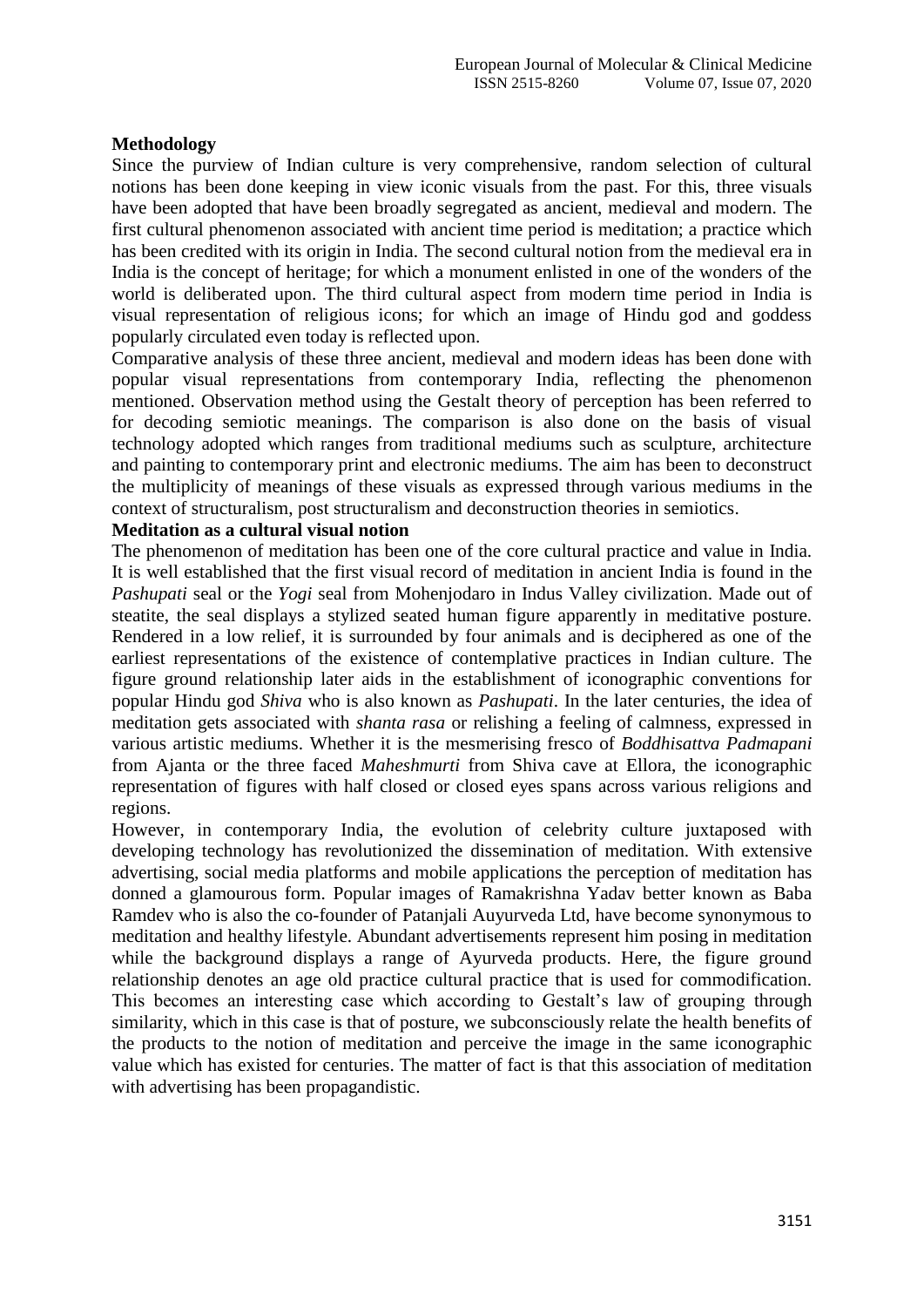### **Methodology**

Since the purview of Indian culture is very comprehensive, random selection of cultural notions has been done keeping in view iconic visuals from the past. For this, three visuals have been adopted that have been broadly segregated as ancient, medieval and modern. The first cultural phenomenon associated with ancient time period is meditation; a practice which has been credited with its origin in India. The second cultural notion from the medieval era in India is the concept of heritage; for which a monument enlisted in one of the wonders of the world is deliberated upon. The third cultural aspect from modern time period in India is visual representation of religious icons; for which an image of Hindu god and goddess popularly circulated even today is reflected upon.

Comparative analysis of these three ancient, medieval and modern ideas has been done with popular visual representations from contemporary India, reflecting the phenomenon mentioned. Observation method using the Gestalt theory of perception has been referred to for decoding semiotic meanings. The comparison is also done on the basis of visual technology adopted which ranges from traditional mediums such as sculpture, architecture and painting to contemporary print and electronic mediums. The aim has been to deconstruct the multiplicity of meanings of these visuals as expressed through various mediums in the context of structuralism, post structuralism and deconstruction theories in semiotics.

### **Meditation as a cultural visual notion**

The phenomenon of meditation has been one of the core cultural practice and value in India. It is well established that the first visual record of meditation in ancient India is found in the *Pashupati* seal or the *Yogi* seal from Mohenjodaro in Indus Valley civilization. Made out of steatite, the seal displays a stylized seated human figure apparently in meditative posture. Rendered in a low relief, it is surrounded by four animals and is deciphered as one of the earliest representations of the existence of contemplative practices in Indian culture. The figure ground relationship later aids in the establishment of iconographic conventions for popular Hindu god *Shiva* who is also known as *Pashupati*. In the later centuries, the idea of meditation gets associated with *shanta rasa* or relishing a feeling of calmness, expressed in various artistic mediums. Whether it is the mesmerising fresco of *Boddhisattva Padmapani* from Ajanta or the three faced *Maheshmurti* from Shiva cave at Ellora, the iconographic representation of figures with half closed or closed eyes spans across various religions and regions.

However, in contemporary India, the evolution of celebrity culture juxtaposed with developing technology has revolutionized the dissemination of meditation. With extensive advertising, social media platforms and mobile applications the perception of meditation has donned a glamourous form. Popular images of Ramakrishna Yadav better known as Baba Ramdev who is also the co-founder of Patanjali Auyurveda Ltd, have become synonymous to meditation and healthy lifestyle. Abundant advertisements represent him posing in meditation while the background displays a range of Ayurveda products. Here, the figure ground relationship denotes an age old practice cultural practice that is used for commodification. This becomes an interesting case which according to Gestalt's law of grouping through similarity, which in this case is that of posture, we subconsciously relate the health benefits of the products to the notion of meditation and perceive the image in the same iconographic value which has existed for centuries. The matter of fact is that this association of meditation with advertising has been propagandistic.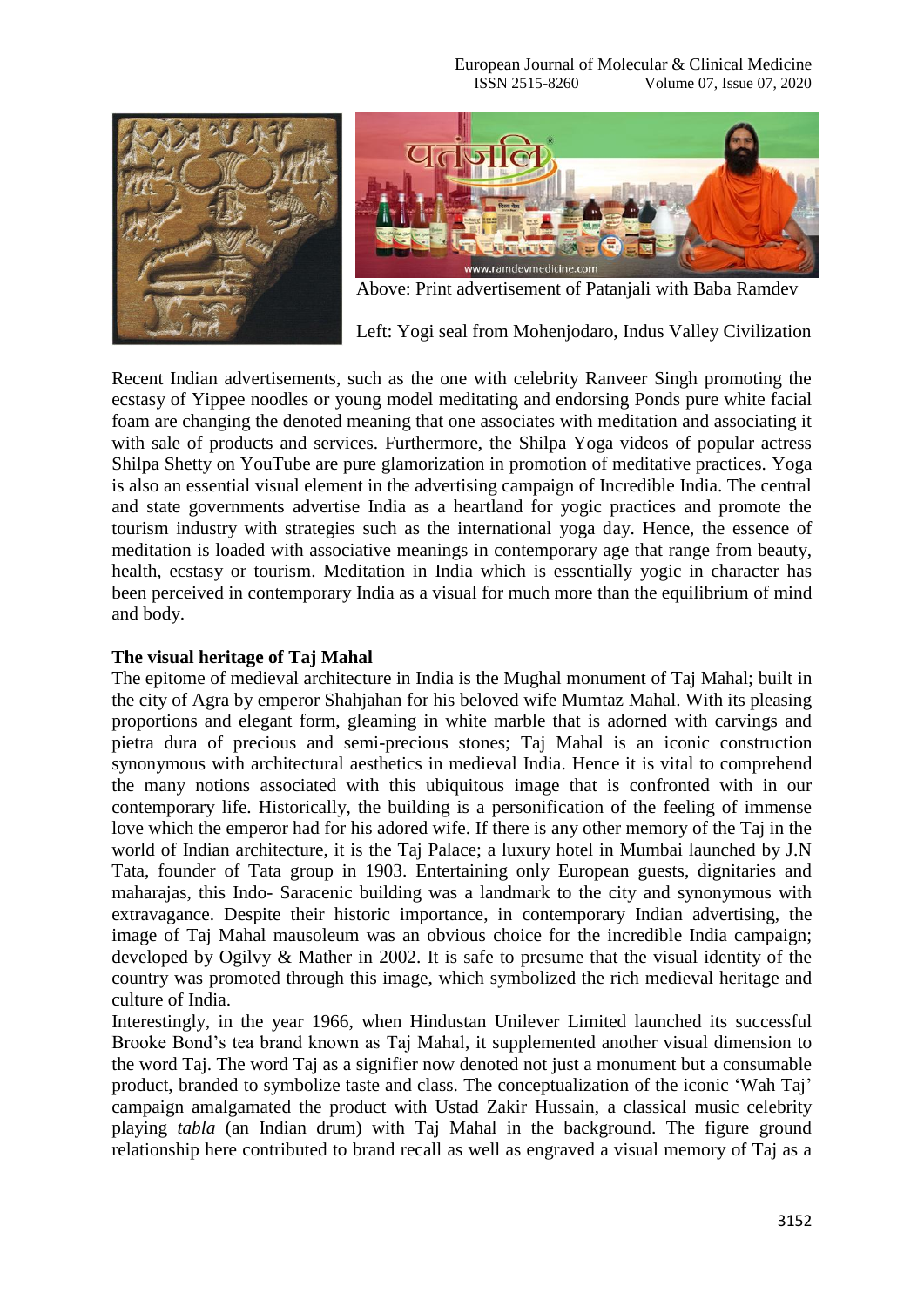European Journal of Molecular & Clinical Medicine ISSN 2515-8260 Volume 07, Issue 07, 2020





Above: Print advertisement of Patanjali with Baba Ramdev

Left: Yogi seal from Mohenjodaro, Indus Valley Civilization

Recent Indian advertisements, such as the one with celebrity Ranveer Singh promoting the ecstasy of Yippee noodles or young model meditating and endorsing Ponds pure white facial foam are changing the denoted meaning that one associates with meditation and associating it with sale of products and services. Furthermore, the Shilpa Yoga videos of popular actress Shilpa Shetty on YouTube are pure glamorization in promotion of meditative practices. Yoga is also an essential visual element in the advertising campaign of Incredible India. The central and state governments advertise India as a heartland for yogic practices and promote the tourism industry with strategies such as the international yoga day. Hence, the essence of meditation is loaded with associative meanings in contemporary age that range from beauty, health, ecstasy or tourism. Meditation in India which is essentially yogic in character has been perceived in contemporary India as a visual for much more than the equilibrium of mind and body.

#### **The visual heritage of Taj Mahal**

The epitome of medieval architecture in India is the Mughal monument of Taj Mahal; built in the city of Agra by emperor Shahjahan for his beloved wife Mumtaz Mahal. With its pleasing proportions and elegant form, gleaming in white marble that is adorned with carvings and pietra dura of precious and semi-precious stones; Taj Mahal is an iconic construction synonymous with architectural aesthetics in medieval India. Hence it is vital to comprehend the many notions associated with this ubiquitous image that is confronted with in our contemporary life. Historically, the building is a personification of the feeling of immense love which the emperor had for his adored wife. If there is any other memory of the Taj in the world of Indian architecture, it is the Taj Palace; a luxury hotel in Mumbai launched by J.N Tata, founder of Tata group in 1903. Entertaining only European guests, dignitaries and maharajas, this Indo- Saracenic building was a landmark to the city and synonymous with extravagance. Despite their historic importance, in contemporary Indian advertising, the image of Taj Mahal mausoleum was an obvious choice for the incredible India campaign; developed by Ogilvy & Mather in 2002. It is safe to presume that the visual identity of the country was promoted through this image, which symbolized the rich medieval heritage and culture of India.

Interestingly, in the year 1966, when Hindustan Unilever Limited launched its successful Brooke Bond's tea brand known as Taj Mahal, it supplemented another visual dimension to the word Taj. The word Taj as a signifier now denoted not just a monument but a consumable product, branded to symbolize taste and class. The conceptualization of the iconic 'Wah Taj' campaign amalgamated the product with Ustad Zakir Hussain, a classical music celebrity playing *tabla* (an Indian drum) with Taj Mahal in the background. The figure ground relationship here contributed to brand recall as well as engraved a visual memory of Taj as a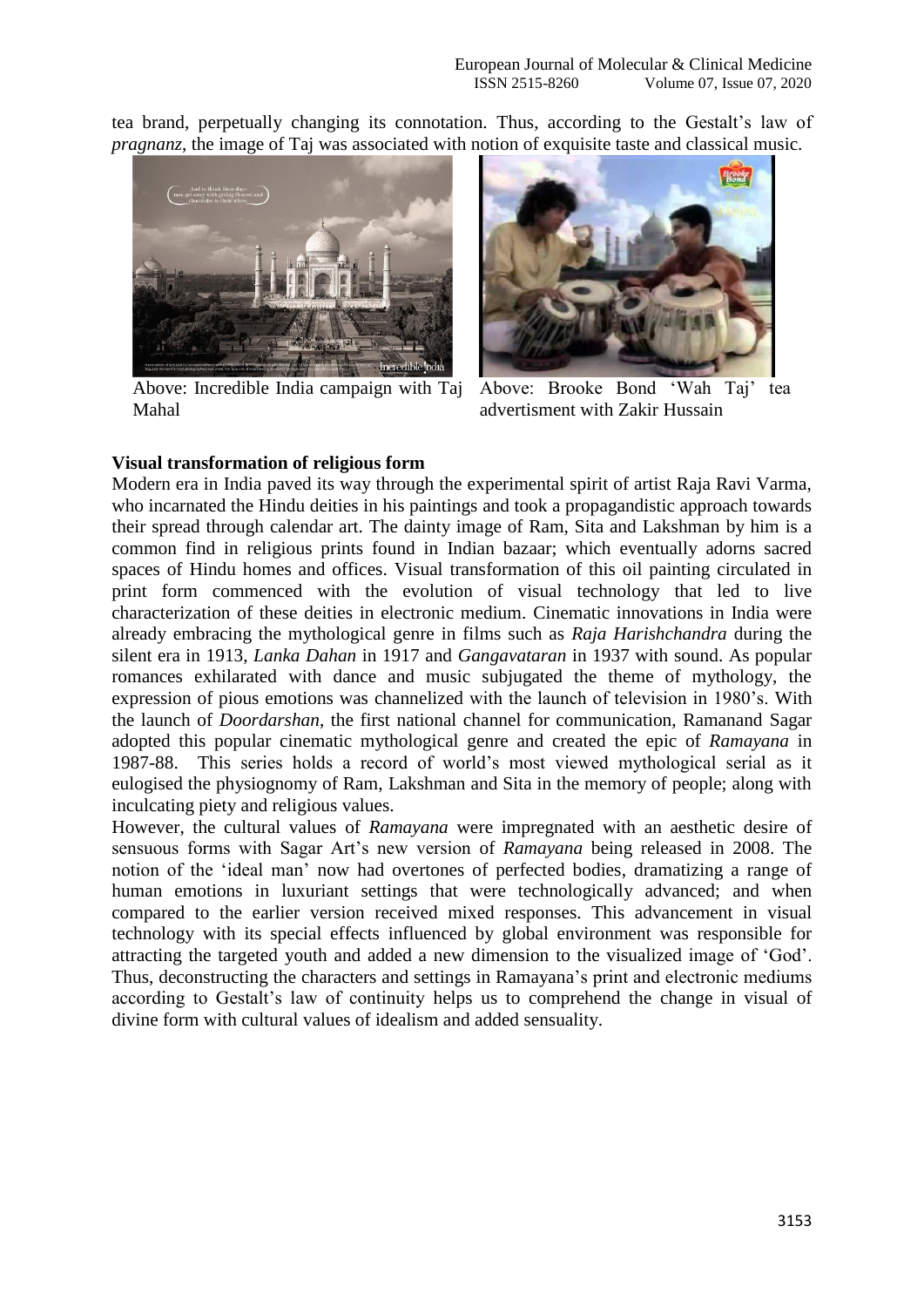tea brand, perpetually changing its connotation. Thus, according to the Gestalt's law of *pragnanz*, the image of Taj was associated with notion of exquisite taste and classical music.



Above: Incredible India campaign with Taj Above: Brooke Bond 'Wah Taj' tea Mahal



advertisment with Zakir Hussain

## **Visual transformation of religious form**

Modern era in India paved its way through the experimental spirit of artist Raja Ravi Varma, who incarnated the Hindu deities in his paintings and took a propagandistic approach towards their spread through calendar art. The dainty image of Ram, Sita and Lakshman by him is a common find in religious prints found in Indian bazaar; which eventually adorns sacred spaces of Hindu homes and offices. Visual transformation of this oil painting circulated in print form commenced with the evolution of visual technology that led to live characterization of these deities in electronic medium. Cinematic innovations in India were already embracing the mythological genre in films such as *Raja Harishchandra* during the silent era in 1913, *Lanka Dahan* in 1917 and *Gangavataran* in 1937 with sound. As popular romances exhilarated with dance and music subjugated the theme of mythology, the expression of pious emotions was channelized with the launch of television in 1980's. With the launch of *Doordarshan*, the first national channel for communication, Ramanand Sagar adopted this popular cinematic mythological genre and created the epic of *Ramayana* in 1987-88. This series holds a record of world's most viewed mythological serial as it eulogised the physiognomy of Ram, Lakshman and Sita in the memory of people; along with inculcating piety and religious values.

However, the cultural values of *Ramayana* were impregnated with an aesthetic desire of sensuous forms with Sagar Art's new version of *Ramayana* being released in 2008. The notion of the 'ideal man' now had overtones of perfected bodies, dramatizing a range of human emotions in luxuriant settings that were technologically advanced; and when compared to the earlier version received mixed responses. This advancement in visual technology with its special effects influenced by global environment was responsible for attracting the targeted youth and added a new dimension to the visualized image of 'God'. Thus, deconstructing the characters and settings in Ramayana's print and electronic mediums according to Gestalt's law of continuity helps us to comprehend the change in visual of divine form with cultural values of idealism and added sensuality.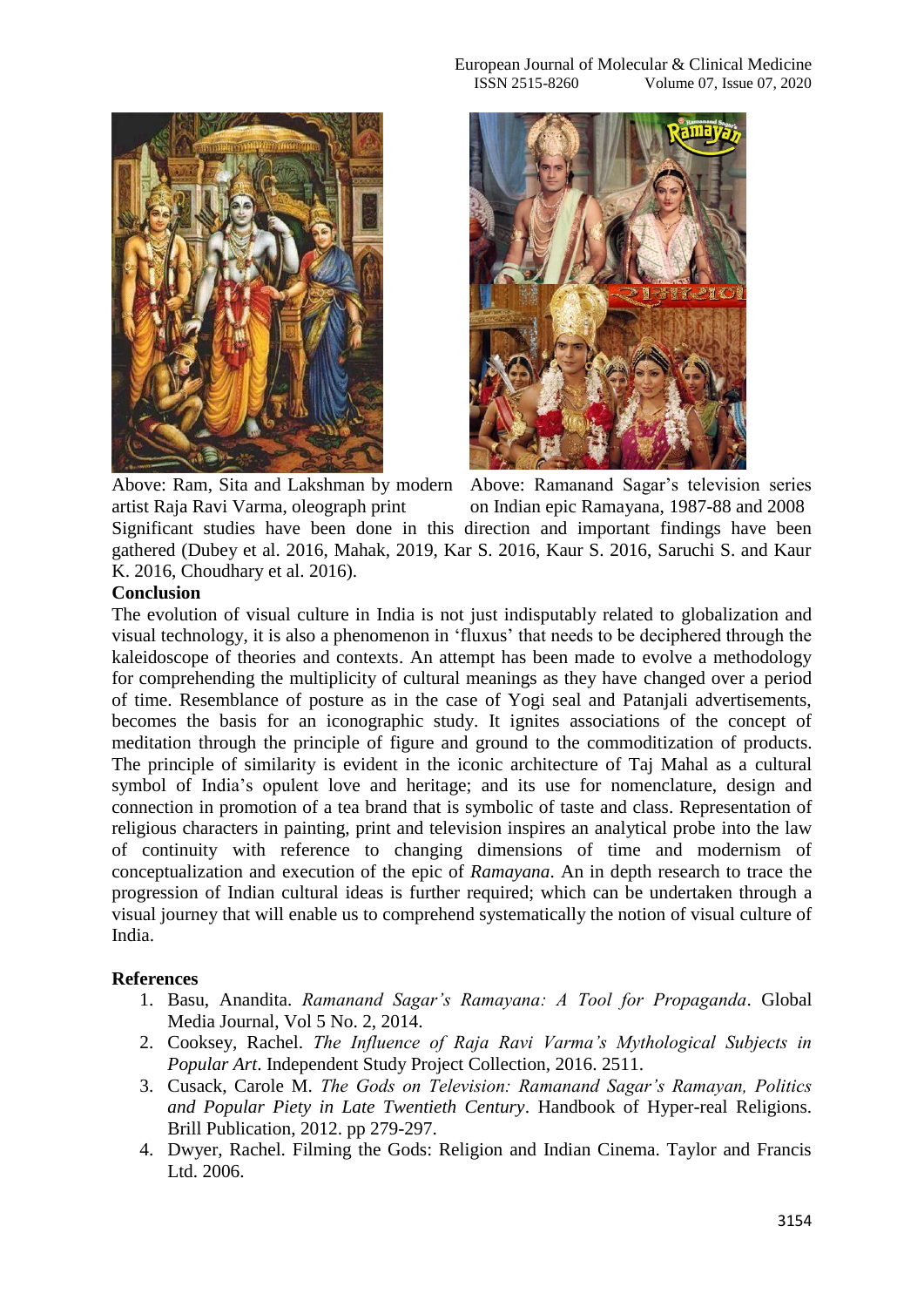

artist Raja Ravi Varma, oleograph print

Above: Ram, Sita and Lakshman by modern Above: Ramanand Sagar's television series on Indian epic Ramayana, 1987-88 and 2008

Significant studies have been done in this direction and important findings have been gathered (Dubey et al. 2016, Mahak, 2019, Kar S. 2016, Kaur S. 2016, Saruchi S. and Kaur K. 2016, Choudhary et al. 2016).

## **Conclusion**

The evolution of visual culture in India is not just indisputably related to globalization and visual technology, it is also a phenomenon in 'fluxus' that needs to be deciphered through the kaleidoscope of theories and contexts. An attempt has been made to evolve a methodology for comprehending the multiplicity of cultural meanings as they have changed over a period of time. Resemblance of posture as in the case of Yogi seal and Patanjali advertisements, becomes the basis for an iconographic study. It ignites associations of the concept of meditation through the principle of figure and ground to the commoditization of products. The principle of similarity is evident in the iconic architecture of Taj Mahal as a cultural symbol of India's opulent love and heritage; and its use for nomenclature, design and connection in promotion of a tea brand that is symbolic of taste and class. Representation of religious characters in painting, print and television inspires an analytical probe into the law of continuity with reference to changing dimensions of time and modernism of conceptualization and execution of the epic of *Ramayana*. An in depth research to trace the progression of Indian cultural ideas is further required; which can be undertaken through a visual journey that will enable us to comprehend systematically the notion of visual culture of India.

## **References**

- 1. Basu, Anandita. *Ramanand Sagar's Ramayana: A Tool for Propaganda*. Global Media Journal, Vol 5 No. 2, 2014.
- 2. Cooksey, Rachel. *The Influence of Raja Ravi Varma's Mythological Subjects in Popular Art*. Independent Study Project Collection, 2016. 2511.
- 3. Cusack, Carole M. *The Gods on Television: Ramanand Sagar's Ramayan, Politics and Popular Piety in Late Twentieth Century*. Handbook of Hyper-real Religions. Brill Publication, 2012. pp 279-297.
- 4. Dwyer, Rachel. Filming the Gods: Religion and Indian Cinema. Taylor and Francis Ltd. 2006.